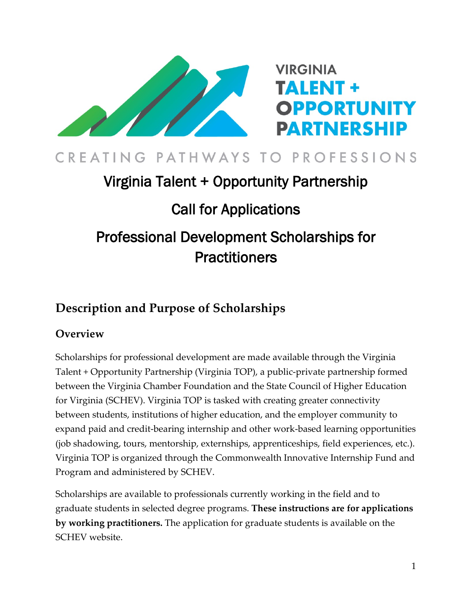

# CREATING PATHWAYS TO PROFESSIONS

# Virginia Talent + Opportunity Partnership

# Call for Applications

# Professional Development Scholarships for **Practitioners**

# **Description and Purpose of Scholarships**

### **Overview**

Scholarships for professional development are made available through the Virginia Talent + Opportunity Partnership (Virginia TOP), a public-private partnership formed between the Virginia Chamber Foundation and the State Council of Higher Education for Virginia (SCHEV). Virginia TOP is tasked with creating greater connectivity between students, institutions of higher education, and the employer community to expand paid and credit-bearing internship and other work-based learning opportunities (job shadowing, tours, mentorship, externships, apprenticeships, field experiences, etc.). Virginia TOP is organized through the Commonwealth Innovative Internship Fund and Program and administered by SCHEV.

Scholarships are available to professionals currently working in the field and to graduate students in selected degree programs. **These instructions are for applications by working practitioners.** The application for graduate students is available on the SCHEV website.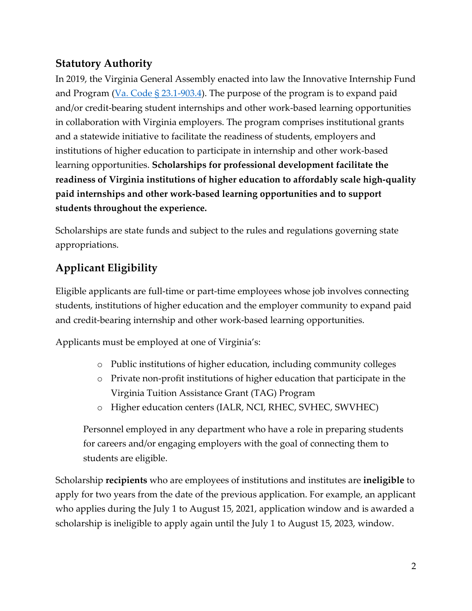## **Statutory Authority**

In 2019, the Virginia General Assembly enacted into law the Innovative Internship Fund and Program (Va. Code  $\S 23.1-903.4$ ). The purpose of the program is to expand paid and/or credit-bearing student internships and other work-based learning opportunities in collaboration with Virginia employers. The program comprises institutional grants and a statewide initiative to facilitate the readiness of students, employers and institutions of higher education to participate in internship and other work-based learning opportunities. **Scholarships for professional development facilitate the readiness of Virginia institutions of higher education to affordably scale high-quality paid internships and other work-based learning opportunities and to support students throughout the experience.**

Scholarships are state funds and subject to the rules and regulations governing state appropriations.

## **Applicant Eligibility**

Eligible applicants are full-time or part-time employees whose job involves connecting students, institutions of higher education and the employer community to expand paid and credit-bearing internship and other work-based learning opportunities.

Applicants must be employed at one of Virginia's:

- o Public institutions of higher education, including community colleges
- o Private non-profit institutions of higher education that participate in the Virginia Tuition Assistance Grant (TAG) Program
- o Higher education centers (IALR, NCI, RHEC, SVHEC, SWVHEC)

Personnel employed in any department who have a role in preparing students for careers and/or engaging employers with the goal of connecting them to students are eligible.

Scholarship **recipients** who are employees of institutions and institutes are **ineligible** to apply for two years from the date of the previous application. For example, an applicant who applies during the July 1 to August 15, 2021, application window and is awarded a scholarship is ineligible to apply again until the July 1 to August 15, 2023, window.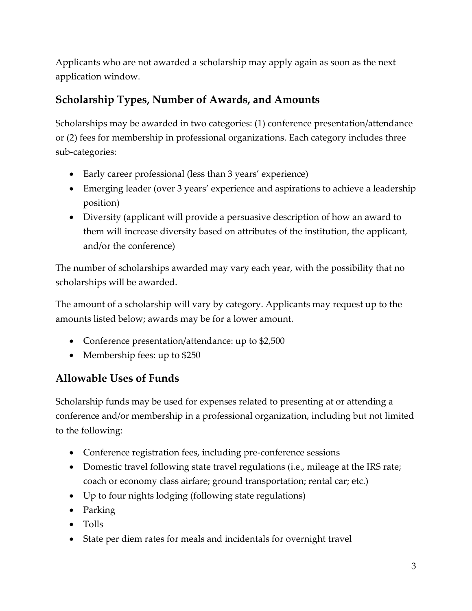Applicants who are not awarded a scholarship may apply again as soon as the next application window.

## **Scholarship Types, Number of Awards, and Amounts**

Scholarships may be awarded in two categories: (1) conference presentation/attendance or (2) fees for membership in professional organizations. Each category includes three sub-categories:

- Early career professional (less than 3 years' experience)
- Emerging leader (over 3 years' experience and aspirations to achieve a leadership position)
- Diversity (applicant will provide a persuasive description of how an award to them will increase diversity based on attributes of the institution, the applicant, and/or the conference)

The number of scholarships awarded may vary each year, with the possibility that no scholarships will be awarded.

The amount of a scholarship will vary by category. Applicants may request up to the amounts listed below; awards may be for a lower amount.

- Conference presentation/attendance: up to \$2,500
- Membership fees: up to \$250

## **Allowable Uses of Funds**

Scholarship funds may be used for expenses related to presenting at or attending a conference and/or membership in a professional organization, including but not limited to the following:

- Conference registration fees, including pre-conference sessions
- Domestic travel following state travel regulations (i.e., mileage at the IRS rate; coach or economy class airfare; ground transportation; rental car; etc.)
- Up to four nights lodging (following state regulations)
- Parking
- Tolls
- State per diem rates for meals and incidentals for overnight travel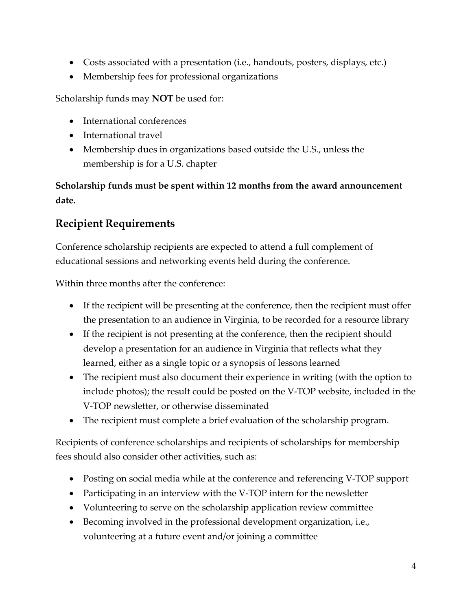- Costs associated with a presentation (i.e., handouts, posters, displays, etc.)
- Membership fees for professional organizations

Scholarship funds may **NOT** be used for:

- International conferences
- International travel
- Membership dues in organizations based outside the U.S., unless the membership is for a U.S. chapter

**Scholarship funds must be spent within 12 months from the award announcement date.**

## **Recipient Requirements**

Conference scholarship recipients are expected to attend a full complement of educational sessions and networking events held during the conference.

Within three months after the conference:

- If the recipient will be presenting at the conference, then the recipient must offer the presentation to an audience in Virginia, to be recorded for a resource library
- If the recipient is not presenting at the conference, then the recipient should develop a presentation for an audience in Virginia that reflects what they learned, either as a single topic or a synopsis of lessons learned
- The recipient must also document their experience in writing (with the option to include photos); the result could be posted on the V-TOP website, included in the V-TOP newsletter, or otherwise disseminated
- The recipient must complete a brief evaluation of the scholarship program.

Recipients of conference scholarships and recipients of scholarships for membership fees should also consider other activities, such as:

- Posting on social media while at the conference and referencing V-TOP support
- Participating in an interview with the V-TOP intern for the newsletter
- Volunteering to serve on the scholarship application review committee
- Becoming involved in the professional development organization, i.e., volunteering at a future event and/or joining a committee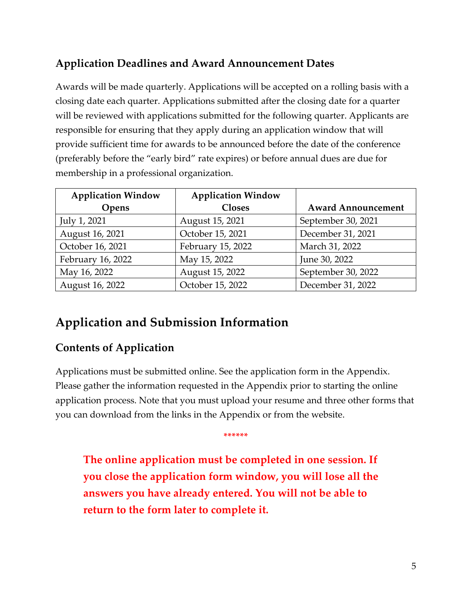## **Application Deadlines and Award Announcement Dates**

Awards will be made quarterly. Applications will be accepted on a rolling basis with a closing date each quarter. Applications submitted after the closing date for a quarter will be reviewed with applications submitted for the following quarter. Applicants are responsible for ensuring that they apply during an application window that will provide sufficient time for awards to be announced before the date of the conference (preferably before the "early bird" rate expires) or before annual dues are due for membership in a professional organization.

| <b>Application Window</b> | <b>Application Window</b> |                           |
|---------------------------|---------------------------|---------------------------|
| Opens                     | <b>Closes</b>             | <b>Award Announcement</b> |
| July 1, 2021              | August 15, 2021           | September 30, 2021        |
| August 16, 2021           | October 15, 2021          | December 31, 2021         |
| October 16, 2021          | February 15, 2022         | March 31, 2022            |
| February 16, 2022         | May 15, 2022              | June 30, 2022             |
| May 16, 2022              | August 15, 2022           | September 30, 2022        |
| August 16, 2022           | October 15, 2022          | December 31, 2022         |

# **Application and Submission Information**

## **Contents of Application**

Applications must be submitted online. See the application form in the Appendix. Please gather the information requested in the Appendix prior to starting the online application process. Note that you must upload your resume and three other forms that you can download from the links in the Appendix or from the website.

**\*\*\*\*\*\***

**The online application must be completed in one session. If you close the application form window, you will lose all the answers you have already entered. You will not be able to return to the form later to complete it.**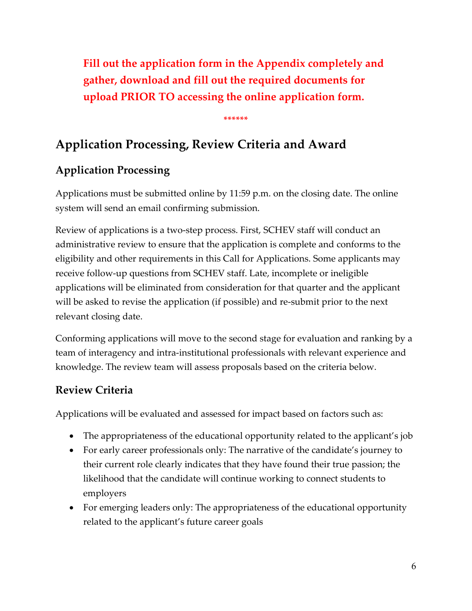**Fill out the application form in the Appendix completely and gather, download and fill out the required documents for upload PRIOR TO accessing the online application form.**

**\*\*\*\*\*\***

# **Application Processing, Review Criteria and Award**

## **Application Processing**

Applications must be submitted online by 11:59 p.m. on the closing date. The online system will send an email confirming submission.

Review of applications is a two-step process. First, SCHEV staff will conduct an administrative review to ensure that the application is complete and conforms to the eligibility and other requirements in this Call for Applications. Some applicants may receive follow-up questions from SCHEV staff. Late, incomplete or ineligible applications will be eliminated from consideration for that quarter and the applicant will be asked to revise the application (if possible) and re-submit prior to the next relevant closing date.

Conforming applications will move to the second stage for evaluation and ranking by a team of interagency and intra-institutional professionals with relevant experience and knowledge. The review team will assess proposals based on the criteria below.

## **Review Criteria**

Applications will be evaluated and assessed for impact based on factors such as:

- The appropriateness of the educational opportunity related to the applicant's job
- For early career professionals only: The narrative of the candidate's journey to their current role clearly indicates that they have found their true passion; the likelihood that the candidate will continue working to connect students to employers
- For emerging leaders only: The appropriateness of the educational opportunity related to the applicant's future career goals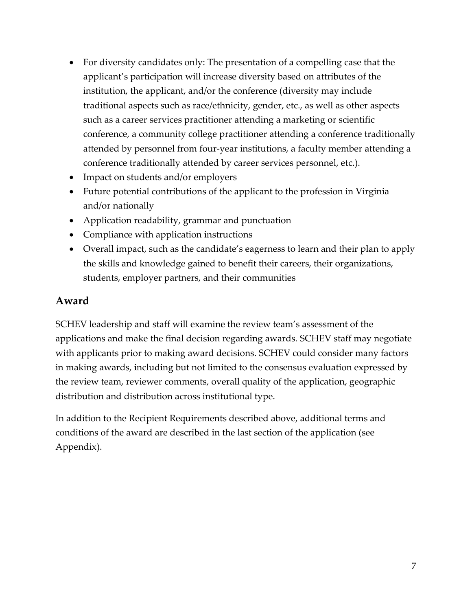- For diversity candidates only: The presentation of a compelling case that the applicant's participation will increase diversity based on attributes of the institution, the applicant, and/or the conference (diversity may include traditional aspects such as race/ethnicity, gender, etc., as well as other aspects such as a career services practitioner attending a marketing or scientific conference, a community college practitioner attending a conference traditionally attended by personnel from four-year institutions, a faculty member attending a conference traditionally attended by career services personnel, etc.).
- Impact on students and/or employers
- Future potential contributions of the applicant to the profession in Virginia and/or nationally
- Application readability, grammar and punctuation
- Compliance with application instructions
- Overall impact, such as the candidate's eagerness to learn and their plan to apply the skills and knowledge gained to benefit their careers, their organizations, students, employer partners, and their communities

### **Award**

SCHEV leadership and staff will examine the review team's assessment of the applications and make the final decision regarding awards. SCHEV staff may negotiate with applicants prior to making award decisions. SCHEV could consider many factors in making awards, including but not limited to the consensus evaluation expressed by the review team, reviewer comments, overall quality of the application, geographic distribution and distribution across institutional type.

In addition to the Recipient Requirements described above, additional terms and conditions of the award are described in the last section of the application (see Appendix).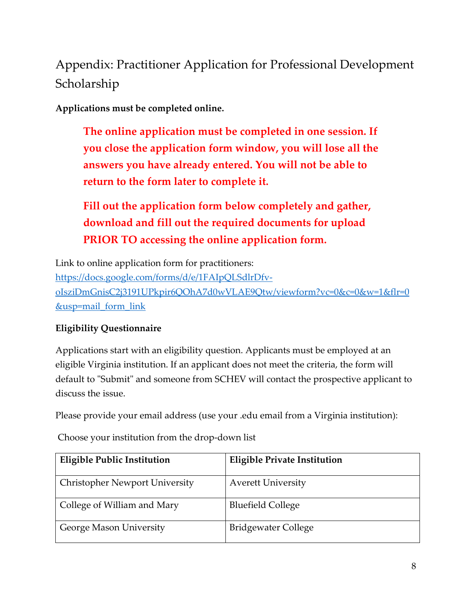# Appendix: Practitioner Application for Professional Development Scholarship

**Applications must be completed online.**

**The online application must be completed in one session. If you close the application form window, you will lose all the answers you have already entered. You will not be able to return to the form later to complete it.**

**Fill out the application form below completely and gather, download and fill out the required documents for upload PRIOR TO accessing the online application form.**

Link to online application form for practitioners: [https://docs.google.com/forms/d/e/1FAIpQLSdlrDfv](https://docs.google.com/forms/d/e/1FAIpQLSdlrDfv-oIsziDmGnisC2j3191UPkpir6QOhA7d0wVLAE9Qtw/viewform?vc=0&c=0&w=1&flr=0&usp=mail_form_link)[oIsziDmGnisC2j3191UPkpir6QOhA7d0wVLAE9Qtw/viewform?vc=0&c=0&w=1&flr=0](https://docs.google.com/forms/d/e/1FAIpQLSdlrDfv-oIsziDmGnisC2j3191UPkpir6QOhA7d0wVLAE9Qtw/viewform?vc=0&c=0&w=1&flr=0&usp=mail_form_link) [&usp=mail\\_form\\_link](https://docs.google.com/forms/d/e/1FAIpQLSdlrDfv-oIsziDmGnisC2j3191UPkpir6QOhA7d0wVLAE9Qtw/viewform?vc=0&c=0&w=1&flr=0&usp=mail_form_link)

### **Eligibility Questionnaire**

Applications start with an eligibility question. Applicants must be employed at an eligible Virginia institution. If an applicant does not meet the criteria, the form will default to "Submit" and someone from SCHEV will contact the prospective applicant to discuss the issue.

Please provide your email address (use your .edu email from a Virginia institution):

Choose your institution from the drop-down list

| <b>Eligible Public Institution</b>    | <b>Eligible Private Institution</b> |
|---------------------------------------|-------------------------------------|
| <b>Christopher Newport University</b> | <b>Averett University</b>           |
| College of William and Mary           | <b>Bluefield College</b>            |
| George Mason University               | <b>Bridgewater College</b>          |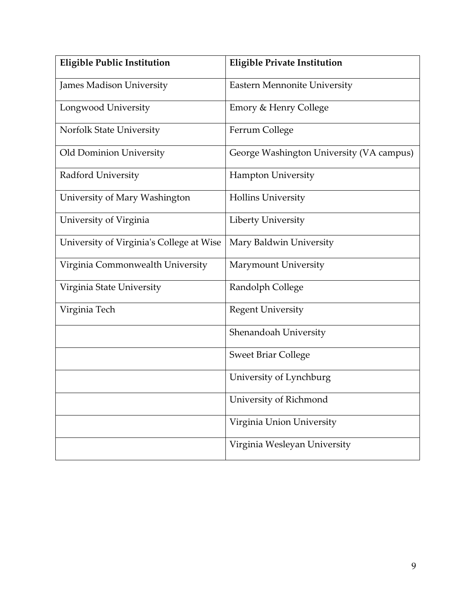| <b>Eligible Public Institution</b>       | <b>Eligible Private Institution</b>      |
|------------------------------------------|------------------------------------------|
| <b>James Madison University</b>          | <b>Eastern Mennonite University</b>      |
| Longwood University                      | Emory & Henry College                    |
| Norfolk State University                 | Ferrum College                           |
| Old Dominion University                  | George Washington University (VA campus) |
| Radford University                       | <b>Hampton University</b>                |
| University of Mary Washington            | <b>Hollins University</b>                |
| University of Virginia                   | Liberty University                       |
| University of Virginia's College at Wise | Mary Baldwin University                  |
| Virginia Commonwealth University         | Marymount University                     |
| Virginia State University                | Randolph College                         |
| Virginia Tech                            | <b>Regent University</b>                 |
|                                          | Shenandoah University                    |
|                                          | <b>Sweet Briar College</b>               |
|                                          | University of Lynchburg                  |
|                                          | University of Richmond                   |
|                                          | Virginia Union University                |
|                                          | Virginia Wesleyan University             |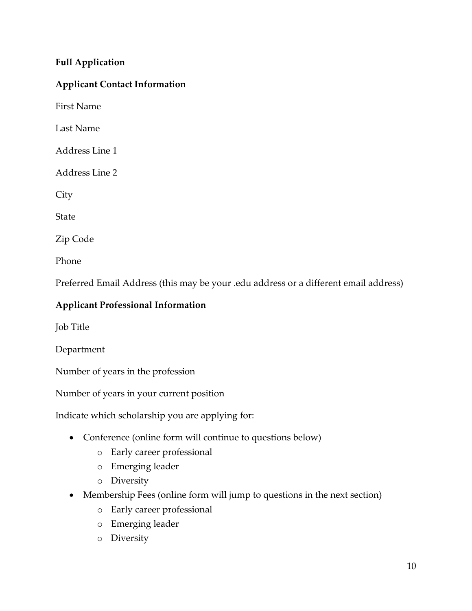#### **Full Application**

#### **Applicant Contact Information**

First Name

Last Name

Address Line 1

Address Line 2

**City** 

State

Zip Code

Phone

Preferred Email Address (this may be your .edu address or a different email address)

#### **Applicant Professional Information**

Job Title

Department

Number of years in the profession

Number of years in your current position

Indicate which scholarship you are applying for:

- Conference (online form will continue to questions below)
	- o Early career professional
	- o Emerging leader
	- o Diversity
- Membership Fees (online form will jump to questions in the next section)
	- o Early career professional
	- o Emerging leader
	- o Diversity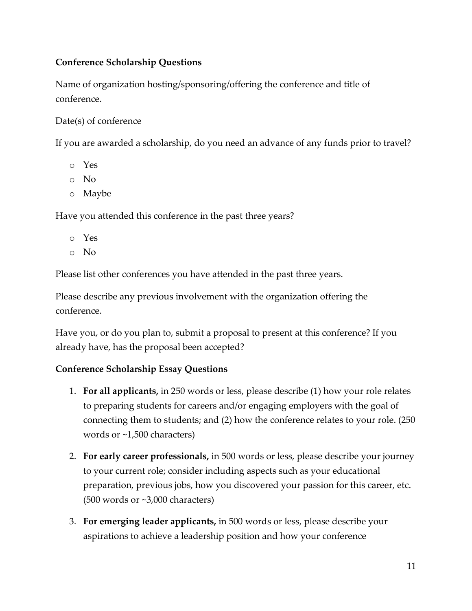### **Conference Scholarship Questions**

Name of organization hosting/sponsoring/offering the conference and title of conference.

Date(s) of conference

If you are awarded a scholarship, do you need an advance of any funds prior to travel?

- o Yes
- o No
- o Maybe

Have you attended this conference in the past three years?

- o Yes
- o No

Please list other conferences you have attended in the past three years.

Please describe any previous involvement with the organization offering the conference.

Have you, or do you plan to, submit a proposal to present at this conference? If you already have, has the proposal been accepted?

### **Conference Scholarship Essay Questions**

- 1. **For all applicants,** in 250 words or less, please describe (1) how your role relates to preparing students for careers and/or engaging employers with the goal of connecting them to students; and (2) how the conference relates to your role. (250 words or ~1,500 characters)
- 2. **For early career professionals,** in 500 words or less, please describe your journey to your current role; consider including aspects such as your educational preparation, previous jobs, how you discovered your passion for this career, etc. (500 words or ~3,000 characters)
- 3. **For emerging leader applicants,** in 500 words or less, please describe your aspirations to achieve a leadership position and how your conference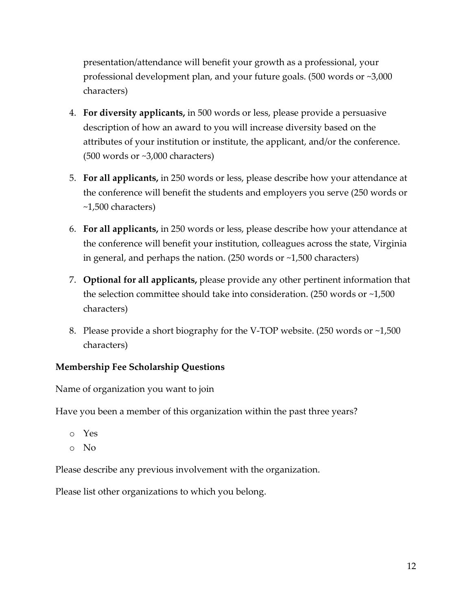presentation/attendance will benefit your growth as a professional, your professional development plan, and your future goals. (500 words or ~3,000 characters)

- 4. **For diversity applicants,** in 500 words or less, please provide a persuasive description of how an award to you will increase diversity based on the attributes of your institution or institute, the applicant, and/or the conference. (500 words or ~3,000 characters)
- 5. **For all applicants,** in 250 words or less, please describe how your attendance at the conference will benefit the students and employers you serve (250 words or ~1,500 characters)
- 6. **For all applicants,** in 250 words or less, please describe how your attendance at the conference will benefit your institution, colleagues across the state, Virginia in general, and perhaps the nation. (250 words or ~1,500 characters)
- 7. **Optional for all applicants,** please provide any other pertinent information that the selection committee should take into consideration. (250 words or ~1,500 characters)
- 8. Please provide a short biography for the V-TOP website. (250 words or ~1,500 characters)

### **Membership Fee Scholarship Questions**

Name of organization you want to join

Have you been a member of this organization within the past three years?

- o Yes
- o No

Please describe any previous involvement with the organization.

Please list other organizations to which you belong.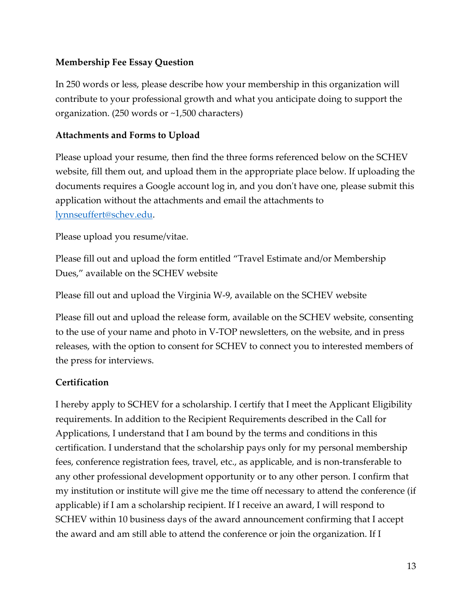#### **Membership Fee Essay Question**

In 250 words or less, please describe how your membership in this organization will contribute to your professional growth and what you anticipate doing to support the organization. (250 words or ~1,500 characters)

#### **Attachments and Forms to Upload**

Please upload your resume, then find the three forms referenced below on the SCHEV website, fill them out, and upload them in the appropriate place below. If uploading the documents requires a Google account log in, and you don't have one, please submit this application without the attachments and email the attachments to [lynnseuffert@schev.edu.](mailto:lynnseuffert@schev.edu)

Please upload you resume/vitae.

Please fill out and upload the form entitled "Travel Estimate and/or Membership Dues," available on the SCHEV website

Please fill out and upload the Virginia W-9, available on the SCHEV website

Please fill out and upload the release form, available on the SCHEV website, consenting to the use of your name and photo in V-TOP newsletters, on the website, and in press releases, with the option to consent for SCHEV to connect you to interested members of the press for interviews.

### **Certification**

I hereby apply to SCHEV for a scholarship. I certify that I meet the Applicant Eligibility requirements. In addition to the Recipient Requirements described in the Call for Applications, I understand that I am bound by the terms and conditions in this certification. I understand that the scholarship pays only for my personal membership fees, conference registration fees, travel, etc., as applicable, and is non-transferable to any other professional development opportunity or to any other person. I confirm that my institution or institute will give me the time off necessary to attend the conference (if applicable) if I am a scholarship recipient. If I receive an award, I will respond to SCHEV within 10 business days of the award announcement confirming that I accept the award and am still able to attend the conference or join the organization. If I